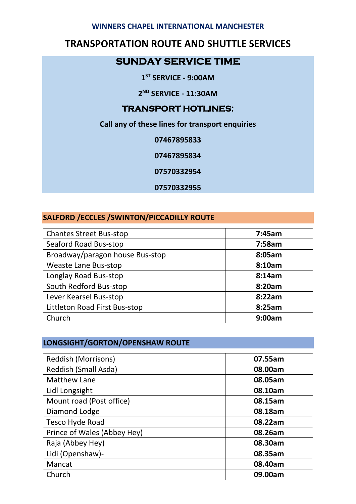#### **WINNERS CHAPEL INTERNATIONAL MANCHESTER**

# **TRANSPORTATION ROUTE AND SHUTTLE SERVICES**

### **SUNDAY SERVICE TIME**

**1 ST SERVICE - 9:00AM**

**2 ND SERVICE - 11:30AM**

#### **TRANSPORT HOTLINES:**

**Call any of these lines for transport enquiries**

**07467895833**

**07467895834**

**07570332954**

**07570332955**

### **SALFORD /ECCLES /SWINTON/PICCADILLY ROUTE**

| <b>Chantes Street Bus-stop</b>  | 7:45am |
|---------------------------------|--------|
| Seaford Road Bus-stop           | 7:58am |
| Broadway/paragon house Bus-stop | 8:05am |
| <b>Weaste Lane Bus-stop</b>     | 8:10am |
| Longlay Road Bus-stop           | 8:14am |
| South Redford Bus-stop          | 8:20am |
| Lever Kearsel Bus-stop          | 8:22am |
| Littleton Road First Bus-stop   | 8:25am |
| Church                          | 9:00am |

### **LONGSIGHT/GORTON/OPENSHAW ROUTE**

| 07.55am |
|---------|
| 08.00am |
| 08.05am |
| 08.10am |
| 08.15am |
| 08.18am |
| 08.22am |
| 08.26am |
| 08.30am |
| 08.35am |
| 08.40am |
| 09.00am |
|         |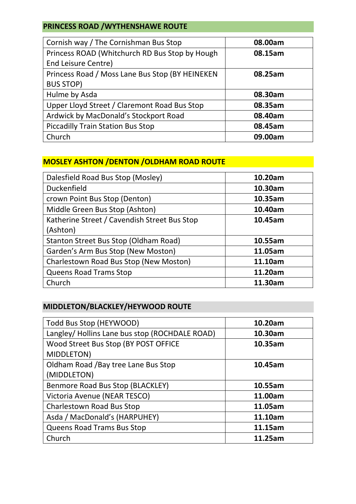# **PRINCESS ROAD /WYTHENSHAWE ROUTE**

| Cornish way / The Cornishman Bus Stop           | 08.00am |
|-------------------------------------------------|---------|
| Princess ROAD (Whitchurch RD Bus Stop by Hough  | 08.15am |
| <b>End Leisure Centre)</b>                      |         |
| Princess Road / Moss Lane Bus Stop (BY HEINEKEN | 08.25am |
| <b>BUS STOP)</b>                                |         |
| Hulme by Asda                                   | 08.30am |
| Upper Lloyd Street / Claremont Road Bus Stop    | 08.35am |
| Ardwick by MacDonald's Stockport Road           | 08.40am |
| <b>Piccadilly Train Station Bus Stop</b>        | 08.45am |
| Church                                          | 09.00am |

### **MOSLEY ASHTON /DENTON /OLDHAM ROAD ROUTE**

| Dalesfield Road Bus Stop (Mosley)            | 10.20am |
|----------------------------------------------|---------|
| <b>Duckenfield</b>                           | 10.30am |
| crown Point Bus Stop (Denton)                | 10.35am |
| Middle Green Bus Stop (Ashton)               | 10.40am |
| Katherine Street / Cavendish Street Bus Stop | 10.45am |
| (Ashton)                                     |         |
| Stanton Street Bus Stop (Oldham Road)        | 10.55am |
| Garden's Arm Bus Stop (New Moston)           | 11.05am |
| Charlestown Road Bus Stop (New Moston)       | 11.10am |
| <b>Queens Road Trams Stop</b>                | 11.20am |
| Church                                       | 11.30am |

# **MIDDLETON/BLACKLEY/HEYWOOD ROUTE**

| Todd Bus Stop (HEYWOOD)                        | 10.20am |
|------------------------------------------------|---------|
| Langley/ Hollins Lane bus stop (ROCHDALE ROAD) | 10.30am |
| Wood Street Bus Stop (BY POST OFFICE           | 10.35am |
| MIDDLETON)                                     |         |
| Oldham Road / Bay tree Lane Bus Stop           | 10.45am |
| (MIDDLETON)                                    |         |
| Benmore Road Bus Stop (BLACKLEY)               | 10.55am |
| Victoria Avenue (NEAR TESCO)                   | 11.00am |
| <b>Charlestown Road Bus Stop</b>               | 11.05am |
| Asda / MacDonald's (HARPUHEY)                  | 11.10am |
| <b>Queens Road Trams Bus Stop</b>              | 11.15am |
| Church                                         | 11.25am |